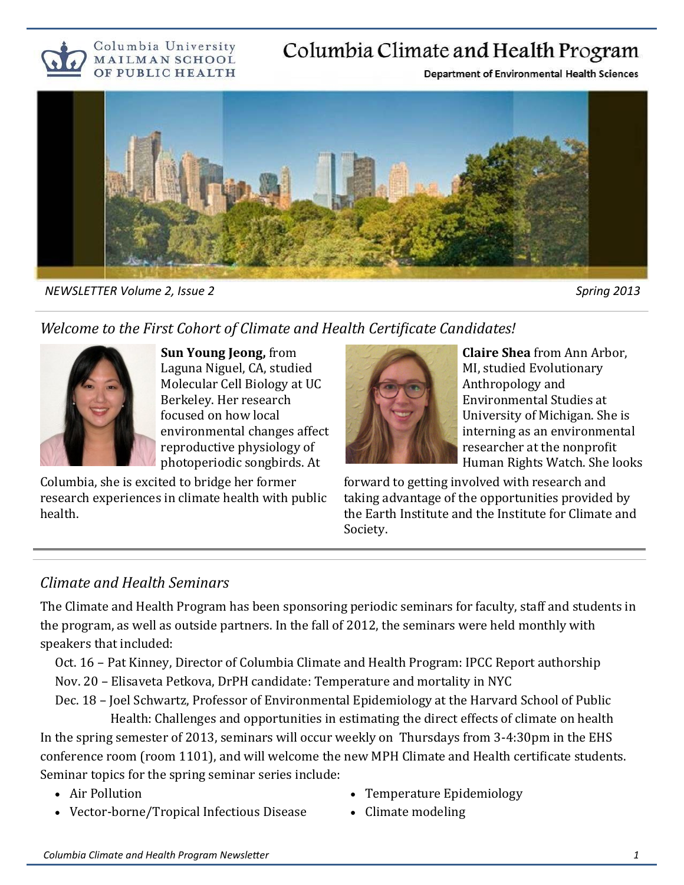

## Columbia Climate and Health Program

**Department of Environmental Health Sciences** 



*NEWSLETTER Volume 2, Issue 2* Spring 2013

#### *Welcome to the First Cohort of Climate and Health Certificate Candidates!*



**Sun Young Jeong,** from Laguna Niguel, CA, studied Molecular Cell Biology at UC Berkeley. Her research focused on how local environmental changes affect reproductive physiology of photoperiodic songbirds. At

Columbia, she is excited to bridge her former research experiences in climate health with public health.



**Claire Shea** from Ann Arbor, MI, studied Evolutionary Anthropology and Environmental Studies at University of Michigan. She is interning as an environmental researcher at the nonprofit Human Rights Watch. She looks

forward to getting involved with research and taking advantage of the opportunities provided by the Earth Institute and the Institute for Climate and Society.

#### *Climate and Health Seminars*

The Climate and Health Program has been sponsoring periodic seminars for faculty, staff and students in the program, as well as outside partners. In the fall of 2012, the seminars were held monthly with speakers that included:

Oct. 16 – Pat Kinney, Director of Columbia Climate and Health Program: IPCC Report authorship Nov. 20 – Elisaveta Petkova, DrPH candidate: Temperature and mortality in NYC

Dec. 18 – Joel Schwartz, Professor of Environmental Epidemiology at the Harvard School of Public Health: Challenges and opportunities in estimating the direct effects of climate on health

In the spring semester of 2013, seminars will occur weekly on Thursdays from 3-4:30pm in the EHS conference room (room 1101), and will welcome the new MPH Climate and Health certificate students. Seminar topics for the spring seminar series include:

- Air Pollution
- Vector-borne/Tropical Infectious Disease
- Temperature Epidemiology
- Climate modeling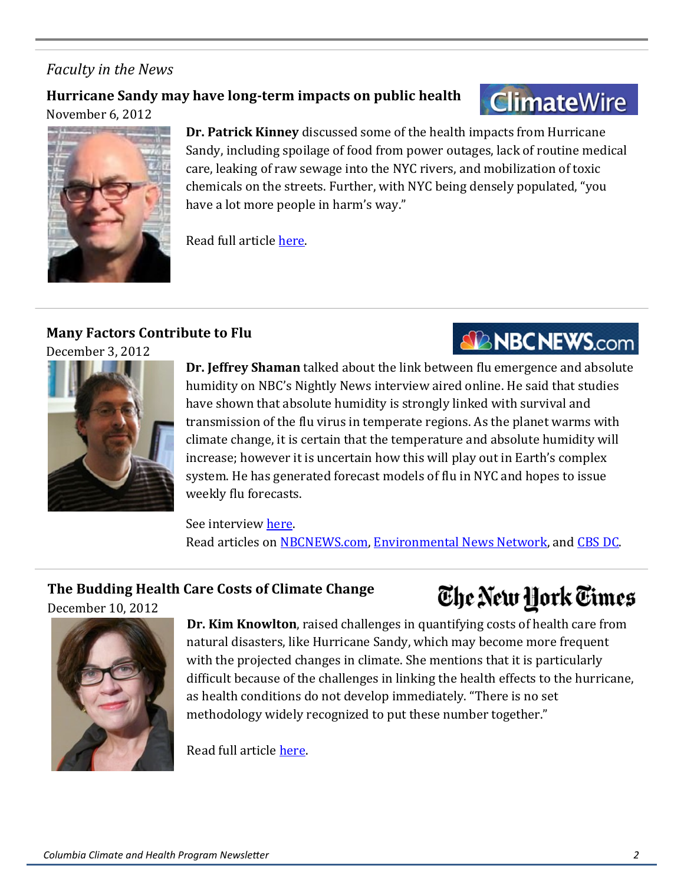#### *Faculty in the News*

#### **Hurricane Sandy may have long-term impacts on public health** November 6, 2012

# **ClimateWire**

**NBCNEWS.com** 

The New York Times



**Dr. Patrick Kinney** discussed some of the health impacts from Hurricane Sandy, including spoilage of food from power outages, lack of routine medical care, leaking of raw sewage into the NYC rivers, and mobilization of toxic chemicals on the streets. Further, with NYC being densely populated, "you have a lot more people in harm's way."

Read full article [here.](http://www.eenews.net/public/climatewire/2012/11/06/2)

#### **Many Factors Contribute to Flu**

December 3, 2012



**Dr. Jeffrey Shaman** talked about the link between flu emergence and absolute humidity on NBC's Nightly News interview aired online. He said that studies have shown that absolute humidity is strongly linked with survival and transmission of the flu virus in temperate regions. As the planet warms with climate change, it is certain that the temperature and absolute humidity will increase; however it is uncertain how this will play out in Earth's complex system. He has generated forecast models of flu in NYC and hopes to issue weekly flu forecasts.

See interview [here.](http://video.msnbc.msn.com/nightly-news/50061785/#50059271) Read articles on [NBCNEWS.com,](http://www.msnbc.msn.com/id/49986556/ns/health-cold_and_flu/t/cloudy-chance-flu-study-offers-influenza-forecast/#.UMeZGiqF_vh) [Environmental News Network,](http://www.enn.com/top_stories/spotlight/45267) and [CBS DC.](http://washington.cbslocal.com/tag/jeffrey-shaman/)

#### **The Budding Health Care Costs of Climate Change**

December 10, 2012



**Dr. Kim Knowlton**, raised challenges in quantifying costs of health care from natural disasters, like Hurricane Sandy, which may become more frequent with the projected changes in climate. She mentions that it is particularly difficult because of the challenges in linking the health effects to the hurricane, as health conditions do not develop immediately. "There is no set methodology widely recognized to put these number together."

Read full article [here.](http://green.blogs.nytimes.com/2012/12/10/the-budding-health-care-costs-of-climate-change/)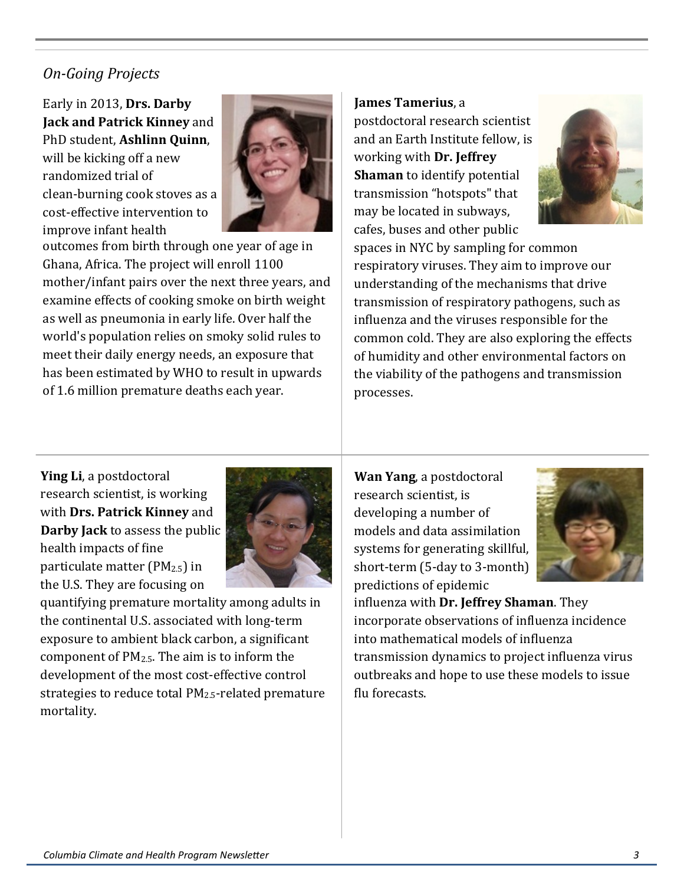#### *On-Going Projects*

Early in 2013, **Drs. Darby Jack and Patrick Kinney** and PhD student, **Ashlinn Quinn**, will be kicking off a new randomized trial of clean-burning cook stoves as a cost-effective intervention to improve infant health



outcomes from birth through one year of age in Ghana, Africa. The project will enroll 1100 mother/infant pairs over the next three years, and examine effects of cooking smoke on birth weight as well as pneumonia in early life. Over half the world's population relies on smoky solid rules to meet their daily energy needs, an exposure that has been estimated by WHO to result in upwards of 1.6 million premature deaths each year.

**James Tamerius**, a

postdoctoral research scientist and an Earth Institute fellow, is working with **Dr. Jeffrey Shaman** to identify potential transmission "hotspots" that may be located in subways, cafes, buses and other public



spaces in NYC by sampling for common respiratory viruses. They aim to improve our understanding of the mechanisms that drive transmission of respiratory pathogens, such as influenza and the viruses responsible for the common cold. They are also exploring the effects of humidity and other environmental factors on the viability of the pathogens and transmission processes.

**Ying Li**, a postdoctoral research scientist, is working with **Drs. Patrick Kinney** and **Darby Jack** to assess the public health impacts of fine particulate matter ( $PM_{2.5}$ ) in the U.S. They are focusing on



quantifying premature mortality among adults in the continental U.S. associated with long-term exposure to ambient black carbon, a significant component of  $PM_{2.5}$ . The aim is to inform the development of the most cost-effective control strategies to reduce total PM2.5-related premature mortality.

**Wan Yang**, a postdoctoral research scientist, is developing a number of models and data assimilation systems for generating skillful, short-term (5-day to 3-month) predictions of epidemic



influenza with **Dr. Jeffrey Shaman**. They incorporate observations of influenza incidence into mathematical models of influenza transmission dynamics to project influenza virus outbreaks and hope to use these models to issue flu forecasts.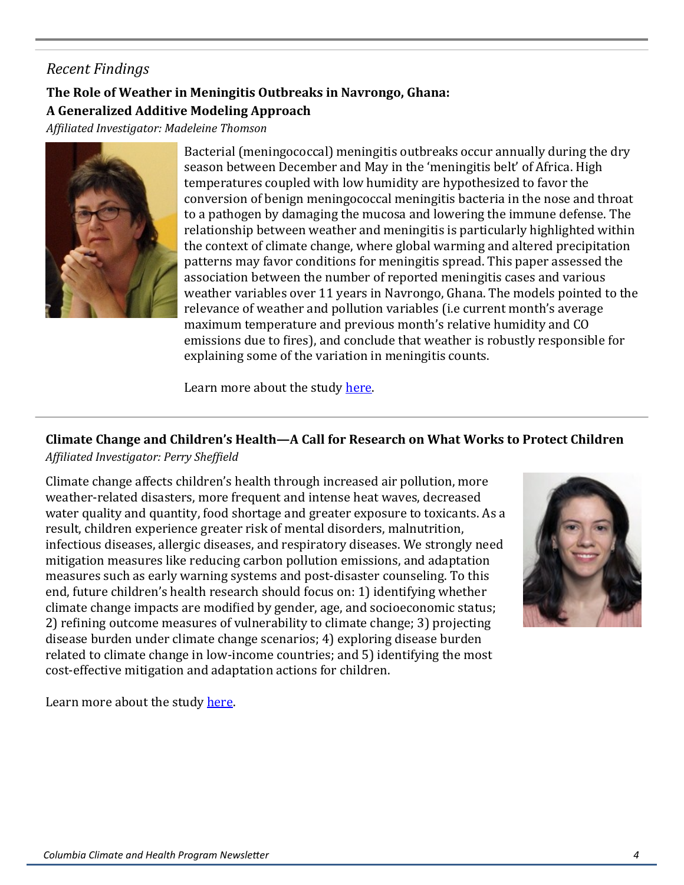#### *Recent Findings*

#### **The Role of Weather in Meningitis Outbreaks in Navrongo, Ghana: A Generalized Additive Modeling Approach**

*Affiliated Investigator: Madeleine Thomson*



Bacterial (meningococcal) meningitis outbreaks occur annually during the dry season between December and May in the 'meningitis belt' of Africa. High temperatures coupled with low humidity are hypothesized to favor the conversion of benign meningococcal meningitis bacteria in the nose and throat to a pathogen by damaging the mucosa and lowering the immune defense. The relationship between weather and meningitis is particularly highlighted within the context of climate change, where global warming and altered precipitation patterns may favor conditions for meningitis spread. This paper assessed the association between the number of reported meningitis cases and various weather variables over 11 years in Navrongo, Ghana. The models pointed to the relevance of weather and pollution variables (i.e current month's average maximum temperature and previous month's relative humidity and CO emissions due to fires), and conclude that weather is robustly responsible for explaining some of the variation in meningitis counts.

Learn more about the study [here.](http://www.mailman.columbia.edu/academic-departments/environmental-health/climate-health-program/role-weather-meningitis-outbreaks-n)

### **Climate Change and Children's Health—A Call for Research on What Works to Protect Children**

*Affiliated Investigator: Perry Sheffield* 

Climate change affects children's health through increased air pollution, more weather-related disasters, more frequent and intense heat waves, decreased water quality and quantity, food shortage and greater exposure to toxicants. As a result, children experience greater risk of mental disorders, malnutrition, infectious diseases, allergic diseases, and respiratory diseases. We strongly need mitigation measures like reducing carbon pollution emissions, and adaptation measures such as early warning systems and post-disaster counseling. To this end, future children's health research should focus on: 1) identifying whether climate change impacts are modified by gender, age, and socioeconomic status; 2) refining outcome measures of vulnerability to climate change; 3) projecting disease burden under climate change scenarios; 4) exploring disease burden related to climate change in low-income countries; and 5) identifying the most cost-effective mitigation and adaptation actions for children.



Learn more about the study [here.](http://www.mailman.columbia.edu/academic-departments/environmental-health/climate-health-program/climate-change-and-childrens-health)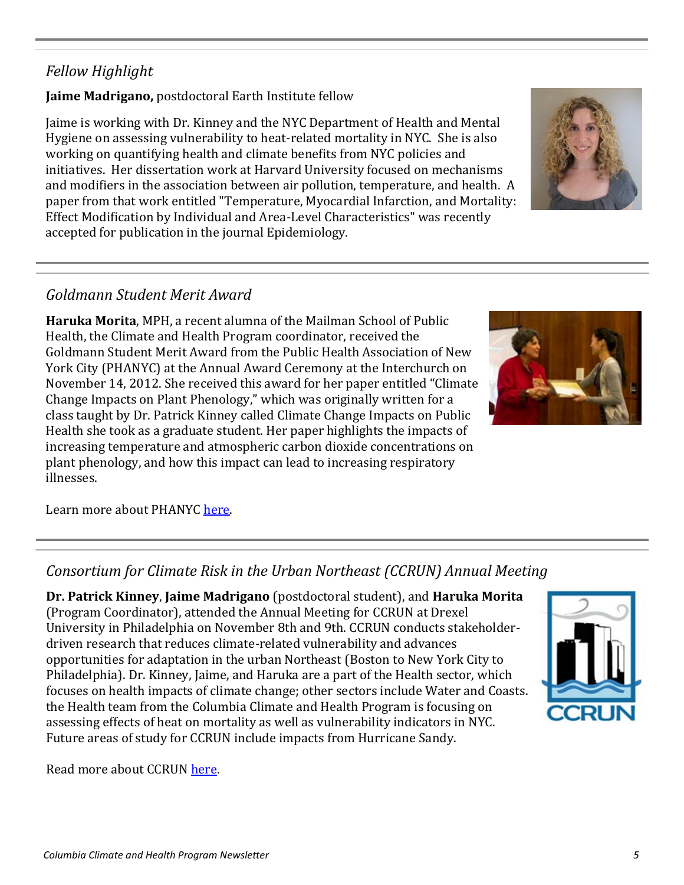Read more about CCRUN [here.](http://ccrun.org/)

#### *Fellow Highlight*

**Jaime Madrigano,** postdoctoral Earth Institute fellow

Jaime is working with Dr. Kinney and the NYC Department of Health and Mental Hygiene on assessing vulnerability to heat-related mortality in NYC. She is also working on quantifying health and climate benefits from NYC policies and initiatives. Her dissertation work at Harvard University focused on mechanisms and modifiers in the association between air pollution, temperature, and health. A paper from that work entitled "Temperature, Myocardial Infarction, and Mortality: Effect Modification by Individual and Area-Level Characteristics" was recently accepted for publication in the journal Epidemiology.

#### *Goldmann Student Merit Award*

**Haruka Morita**, MPH, a recent alumna of the Mailman School of Public Health, the Climate and Health Program coordinator, received the Goldmann Student Merit Award from the Public Health Association of New York City (PHANYC) at the Annual Award Ceremony at the Interchurch on November 14, 2012. She received this award for her paper entitled "Climate Change Impacts on Plant Phenology," which was originally written for a class taught by Dr. Patrick Kinney called Climate Change Impacts on Public Health she took as a graduate student. Her paper highlights the impacts of increasing temperature and atmospheric carbon dioxide concentrations on plant phenology, and how this impact can lead to increasing respiratory illnesses.

Learn more about PHANYC [here.](http://www.phanyc.org)

#### *Consortium for Climate Risk in the Urban Northeast (CCRUN) Annual Meeting*

**Dr. Patrick Kinney**, **Jaime Madrigano** (postdoctoral student), and **Haruka Morita**  (Program Coordinator), attended the Annual Meeting for CCRUN at Drexel University in Philadelphia on November 8th and 9th. CCRUN conducts stakeholderdriven research that reduces climate-related vulnerability and advances opportunities for adaptation in the urban Northeast (Boston to New York City to Philadelphia). Dr. Kinney, Jaime, and Haruka are a part of the Health sector, which focuses on health impacts of climate change; other sectors include Water and Coasts. the Health team from the Columbia Climate and Health Program is focusing on assessing effects of heat on mortality as well as vulnerability indicators in NYC. Future areas of study for CCRUN include impacts from Hurricane Sandy.